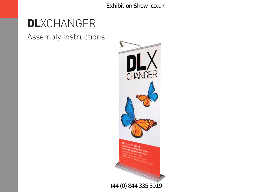# **DL**XCHANGER

Assembly Instructions

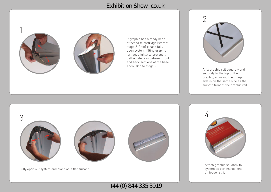

If graphic has already been attached to cartridge (start at stage 2 if not) please fully open system, lifting graphic rail out slightly to prevent it getting stuck in between front and back sections of the base. Then, skip to stage 6.



Affix graphic rail squarely and securely to the top of the graphic, ensuring the image side is on the same side as the smooth front of the graphic rail.



Fully open out system and place on a flat surface

+44 (0) 844 335 3919



Attach graphic squarely to system as per instructions on feeder strip.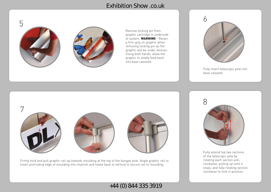

Remove locking pin from graphic cartridge in underside of system. **WARNING** - Retain a firm grip on graphic when removing locking pin as the graphic will be under tension. Using both hands, allow the graphic to slowly feed back into base cassette.



Fully insert telescopic pole into base cassette.



Firmly hold and pull graphic rail up towards moulding at the top of the bungee pole. Angle graphic rail to insert protruding edge of moulding into channel and rotate back to vertical to secure rail to moulding.

+44 (0) 844 335 3919



Fully extend top two sections of the telescopic pole by rotating each section anticlockwise, pulling up until it stops, and fully rotating section clockwise to lock in position.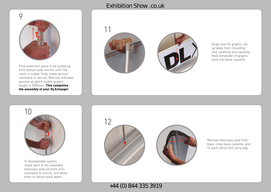

Final extension piece to be pulled up from bottom pole section until red mark is visible. Fully rotate section clockwise to secure. Red line indicates position at which visible graphic height is 2000mm. **This completes the assembly of your DLXchanger** .



Angle and lift graphic rail up away from moulding and, carefully and squarely, feed remainder of graphic back into base cassette.



To disassemble system, rotate each of the extended telescopic pole sections anticlockwise to unlock, and allow them to retract back down.



Remove telescopic pole from base, close base cassette, and re-pack items into carry bag.

+44 (0) 844 335 3919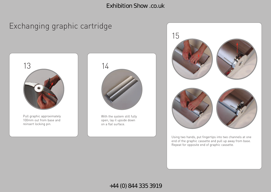# Exchanging graphic cartridge



Pull graphic approximately 100mm out from base and reinsert locking pin.



With the system still fully open, lay it upside down on a flat surface.



Using two hands, put fingertips into two channels at one end of the graphic cassette and pull up away from base. Repeat for opposite end of graphic cassette.

### +44 (0) 844 335 3919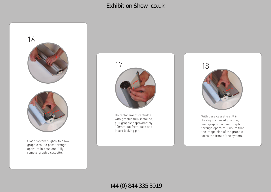

graphic rail to pass through aperture in base and fully remove graphic cassette.



On replacement cartridge with graphic fully installed, pull graphic approximately 100mm out from base and insert locking pin.



With base cassette still in its slightly closed position, feed graphic rail and graphic through aperture. Ensure that the image side of the graphic faces the front of the system.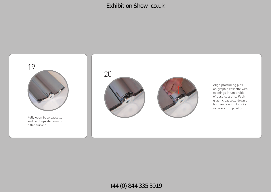